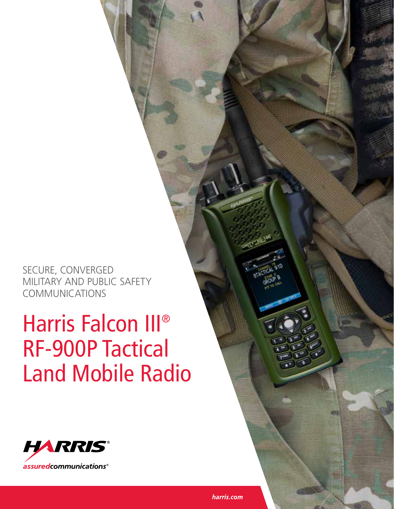SECURE, CONVERGED MILITARY AND PUBLIC SAFETY COMMUNICATIONS

# Harris Falcon III® RF-900P Tactical Land Mobile Radio

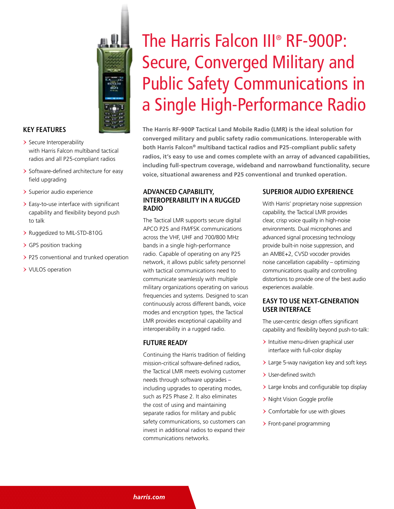

#### **KEY FEATURES**

- > Secure Interoperability with Harris Falcon multiband tactical radios and all P25-compliant radios
- > Software-defined architecture for easy field upgrading
- > Superior audio experience
- > Easy-to-use interface with significant capability and flexibility beyond push to talk
- > Ruggedized to MIL-STD-810G
- > GPS position tracking
- > P25 conventional and trunked operation
- > VULOS operation

## The Harris Falcon III® RF-900P: Secure, Converged Military and Public Safety Communications in a Single High-Performance Radio

**The Harris RF-900P Tactical Land Mobile Radio (LMR) is the ideal solution for converged military and public safety radio communications. Interoperable with both Harris Falcon® multiband tactical radios and P25-compliant public safety radios, it's easy to use and comes complete with an array of advanced capabilities, including full-spectrum coverage, wideband and narrowband functionality, secure voice, situational awareness and P25 conventional and trunked operation.**

#### **ADVANCED CAPABILITY, INTEROPERABILITY IN A RUGGED RADIO**

The Tactical LMR supports secure digital APCO P25 and FM/FSK communications across the VHF, UHF and 700/800 MHz bands in a single high-performance radio. Capable of operating on any P25 network, it allows public safety personnel with tactical communications need to communicate seamlessly with multiple military organizations operating on various frequencies and systems. Designed to scan continuously across different bands, voice modes and encryption types, the Tactical LMR provides exceptional capability and interoperability in a rugged radio.

#### **FUTURE READY**

Continuing the Harris tradition of fielding mission-critical software-defined radios, the Tactical LMR meets evolving customer needs through software upgrades – including upgrades to operating modes, such as P25 Phase 2. It also eliminates the cost of using and maintaining separate radios for military and public safety communications, so customers can invest in additional radios to expand their communications networks.

#### **SUPERIOR AUDIO EXPERIENCE**

With Harris' proprietary noise suppression capability, the Tactical LMR provides clear, crisp voice quality in high-noise environments. Dual microphones and advanced signal processing technology provide built-in noise suppression, and an AMBE+2, CVSD vocoder provides noise cancellation capability – optimizing communications quality and controlling distortions to provide one of the best audio experiences available.

#### **EASY TO USE NEXT-GENERATION USER INTERFACE**

The user-centric design offers significant capability and flexibility beyond push-to-talk:

- > Intuitive menu-driven graphical user interface with full-color display
- > Large 5-way navigation key and soft keys
- > User-defined switch
- > Large knobs and configurable top display
- > Night Vision Goggle profile
- > Comfortable for use with gloves
- > Front-panel programming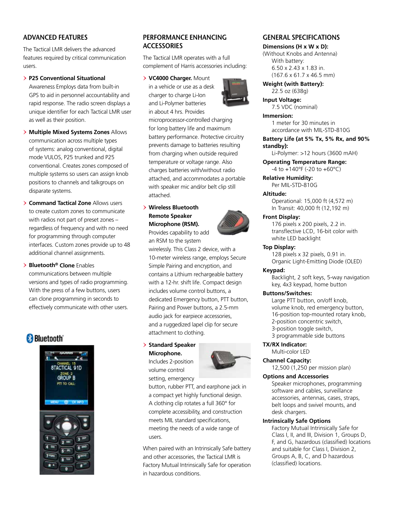#### **ADVANCED FEATURES**

The Tactical LMR delivers the advanced features required by critical communication users.

#### > **P25 Conventional Situational**

Awareness Employs data from built-in GPS to aid in personnel accountability and rapid response. The radio screen displays a unique identifier for each Tactical LMR user as well as their position.

> **Multiple Mixed Systems Zones** Allows communication across multiple types of systems: analog conventional, digital mode VULOS, P25 trunked and P25 conventional. Creates zones composed of multiple systems so users can assign knob positions to channels and talkgroups on disparate systems.

- > **Command Tactical Zone** Allows users to create custom zones to communicate with radios not part of preset zones – regardless of frequency and with no need for programming through computer interfaces. Custom zones provide up to 48 additional channel assignments.
- > **Bluetooth® Clone** Enables communications between multiple versions and types of radio programming. With the press of a few buttons, users can clone programming in seconds to effectively communicate with other users.

## **Bluetooth**



#### **PERFORMANCE ENHANCING ACCESSORIES**

The Tactical LMR operates with a full complement of Harris accessories including:

#### > **VC4000 Charger.** Mount

in a vehicle or use as a desk charger to charge Li-Ion and Li-Polymer batteries in about 4 hrs. Provides



microprocessor-controlled charging for long battery life and maximum battery performance. Protective circuitry prevents damage to batteries resulting from charging when outside required temperature or voltage range. Also charges batteries with/without radio attached, and accommodates a portable with speaker mic and/or belt clip still attached.

#### > **Wireless Bluetooth Remote Speaker Microphone (RSM).**

Provides capability to add an RSM to the system

wirelessly. This Class 2 device, with a 10-meter wireless range, employs Secure Simple Pairing and encryption, and contains a Lithium rechargeable battery with a 12-hr. shift life. Compact design includes volume control buttons, a dedicated Emergency button, PTT button, Pairing and Power buttons, a 2.5-mm audio jack for earpiece accessories, and a ruggedized lapel clip for secure attachment to clothing.

#### > **Standard Speaker Microphone.**

Includes 2-position volume control setting, emergency



button, rubber PTT, and earphone jack in a compact yet highly functional design. A clothing clip rotates a full 360° for complete accessibility, and construction meets MIL standard specifications, meeting the needs of a wide range of users.

When paired with an Intrinsically Safe battery and other accessories, the Tactical LMR is Factory Mutual Intrinsically Safe for operation in hazardous conditions.

#### **GENERAL SPECIFICATIONS**

#### **Dimensions (H x W x D):**

(Without Knobs and Antenna) With battery: 6.50 x 2.43 x 1.83 in. (167.6 x 61.7 x 46.5 mm)

#### **Weight (with Battery):** 22.5 oz (638g)

**Input Voltage:** 7.5 VDC (nominal)

- **Immersion:** 1 meter for 30 minutes in accordance with MIL-STD-810G
- **Battery Life (at 5% Tx, 5% Rx, and 90% standby):**

Li-Polymer: >12 hours (3600 mAH)

**Operating Temperature Range:**  -4 to +140°F (-20 to +60°C)

**Relative Humidity:**  Per MIL-STD-810G

#### **Altitude:**

Operational: 15,000 ft (4,572 m) In Transit: 40,000 ft (12,192 m)

#### **Front Display:**

176 pixels x 200 pixels, 2.2 in. transflective LCD, 16-bit color with white LED backlight

#### **Top Display:**

128 pixels x 32 pixels, 0.91 in. Organic Light-Emitting Diode (OLED)

#### **Keypad:**

Backlight, 2 soft keys, 5-way navigation key, 4x3 keypad, home button

#### **Buttons/Switches:**

Large PTT button, on/off knob, volume knob, red emergency button, 16-position top-mounted rotary knob, 2-position concentric switch, 3-position toggle switch, 3 programmable side buttons

#### **TX/RX Indicator:**

Multi-color LED

### **Channel Capacity:**

12,500 (1,250 per mission plan)

#### **Options and Accessories**

Speaker microphones, programming software and cables, surveillance accessories, antennas, cases, straps, belt loops and swivel mounts, and desk chargers.

#### **Intrinsically Safe Options**

Factory Mutual Intrinsically Safe for Class I, II, and III, Division 1, Groups D, F, and G, hazardous (classified) locations and suitable for Class I, Division 2, Groups A, B, C, and D hazardous (classified) locations.